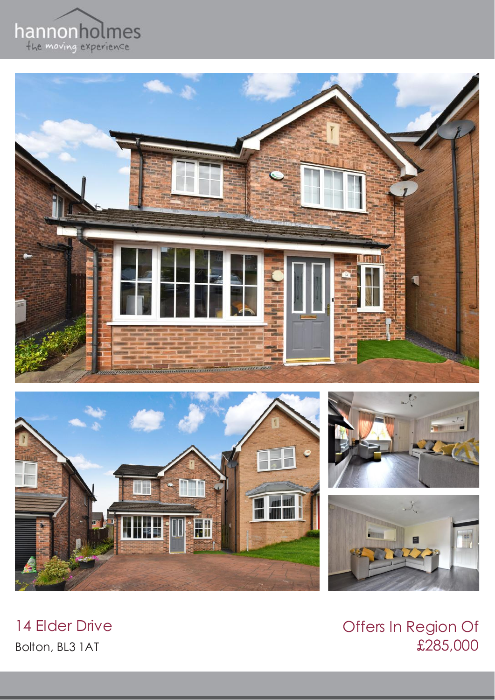









Offers In Region Of £285,000

14 Elder Drive Bolton, BL3 1AT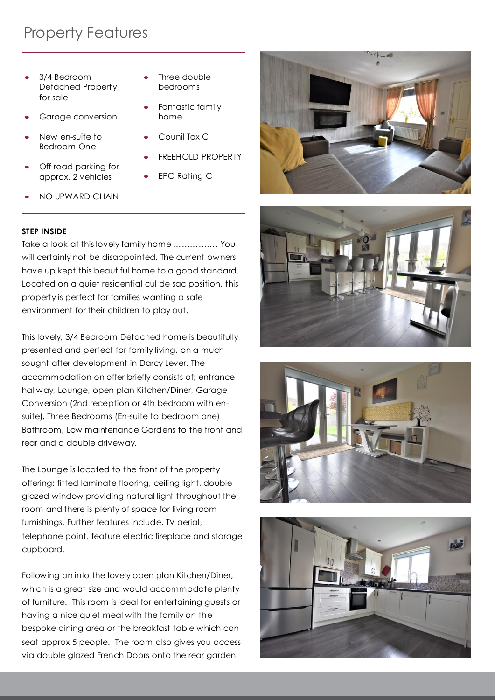## Property Features

- 3/4 Bedroom Detached Property for sale
- Garage conversion
- New en-suite to Bedroom One
- Off road parking for approx. 2 vehicles
- Three double bedrooms
- Fantastic family home
- Counil Tax C
- FREEHOLD PROPERTY
- EPC Rating C
- NO UPWARD CHAIN

## **STEP INSIDE**

Take a look at this lovely family home ……………. You will certainly not be disappointed. The current owners have up kept this beautiful home to a good standard. Located on a quiet residential cul de sac position, this property is perfect for families wanting a safe environment for their children to play out.

This lovely, 3/4 Bedroom Detached home is beautifully presented and perfect for family living, on a much sought after development in Darcy Lever. The accommodation on offer briefly consists of; entrance hallway, Lounge, open plan Kitchen/Diner, Garage Conversion (2nd reception or 4th bedroom with ensuite), Three Bedrooms (En-suite to bedroom one) Bathroom, Low maintenance Gardens to the front and rear and a double driveway.

The Lounge is located to the front of the property offering; fitted laminate flooring, ceiling light, double glazed window providing natural light throughout the room and there is plenty of space for living room furnishings. Further features include, TV aerial, telephone point, feature electric fireplace and storage cupboard.

Following on into the lovely open plan Kitchen/Diner, which is a great size and would accommodate plenty of furniture. This room is ideal for entertaining guests or having a nice quiet meal with the family on the bespoke dining area or the breakfast table which can seat approx 5 people. The room also gives you access via double glazed French Doors onto the rear garden.







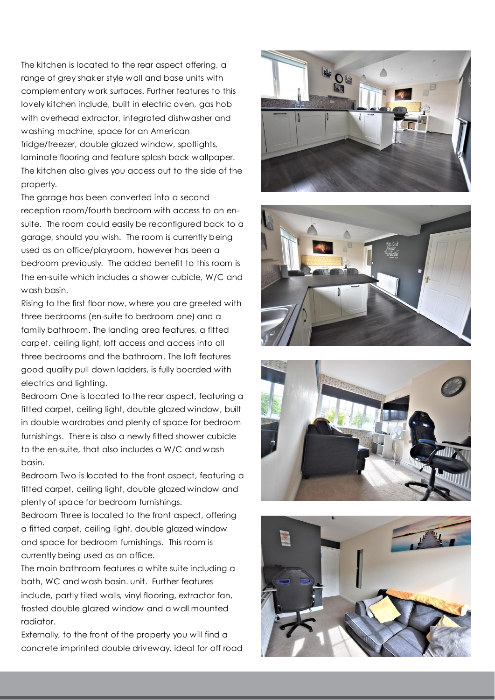The kitchen is located to the rear aspect offering, a range of grey shaker style wall and base units with complementary work surfaces. Further features to this lovely kitchen include, built in electric oven, gas hob with overhead extractor, integrated dishwasher and washing machine, space for an American fridge/freezer, double glazed window, spotlights, laminate flooring and feature splash back wallpaper. The kitchen also gives you access out to the side of the property.

The garage has been converted into a second reception room/fourth bedroom with access to an ensuite. The room could easily be reconfigured back to a garage, should you wish. The room is currently being used as an office/playroom, however has been a bedroom previously. The added benefit to this room is the en-suite which includes a shower cubicle, W/C and wash basin.

Rising to the first floor now, where you are greeted with three bedrooms (en-suite to bedroom one) and a family bathroom. The landing area features, a fitted carpet, ceiling light, loft access and access into all three bedrooms and the bathroom. The loft features good quality pull down ladders, is fully boarded with electrics and lighting.

Bedroom One is located to the rear aspect, featuring a fitted carpet, ceiling light, double glazed window, built in double wardrobes and plenty of space for bedroom furnishings. There is also a newly fitted shower cubicle to the en-suite, that also includes a W/C and wash basin.

Bedroom Two is located to the front aspect, featuring a fitted carpet, ceiling light, double glazed window and plenty of space for bedroom furnishings.

Bedroom Three is located to the front aspect, offering a fitted carpet, ceiling light, double glazed window and space for bedroom furnishings. This room is currently being used as an office.

The main bathroom features a white suite including a bath, WC and wash basin. unit. Further features include, partly tiled walls, vinyl flooring, extractor fan, frosted double glazed window and a wall mounted radiator.

Externally, to the front of the property you will find a concrete imprinted double driveway, ideal for off road